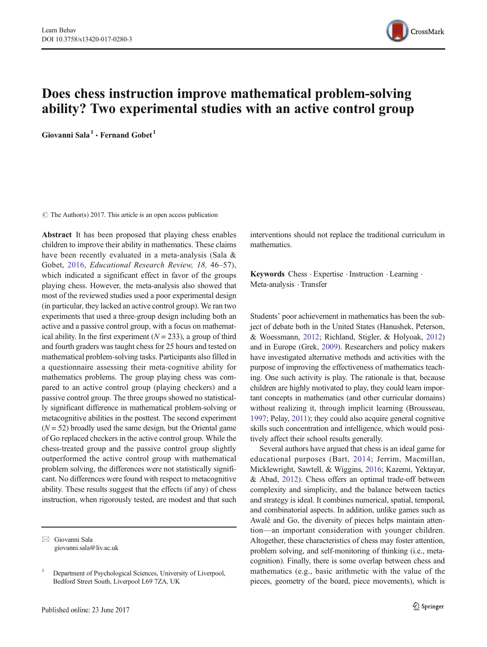

# Does chess instruction improve mathematical problem-solving ability? Two experimental studies with an active control group

Giovanni Sala<sup>1</sup> · Fernand Gobet<sup>1</sup>

 $\circ$  The Author(s) 2017. This article is an open access publication

Abstract It has been proposed that playing chess enables children to improve their ability in mathematics. These claims have been recently evaluated in a meta-analysis (Sala & Gobet, [2016](#page-7-0), Educational Research Review, 18, 46–57), which indicated a significant effect in favor of the groups playing chess. However, the meta-analysis also showed that most of the reviewed studies used a poor experimental design (in particular, they lacked an active control group). We ran two experiments that used a three-group design including both an active and a passive control group, with a focus on mathematical ability. In the first experiment ( $N = 233$ ), a group of third and fourth graders was taught chess for 25 hours and tested on mathematical problem-solving tasks. Participants also filled in a questionnaire assessing their meta-cognitive ability for mathematics problems. The group playing chess was compared to an active control group (playing checkers) and a passive control group. The three groups showed no statistically significant difference in mathematical problem-solving or metacognitive abilities in the posttest. The second experiment  $(N = 52)$  broadly used the same design, but the Oriental game of Go replaced checkers in the active control group. While the chess-treated group and the passive control group slightly outperformed the active control group with mathematical problem solving, the differences were not statistically significant. No differences were found with respect to metacognitive ability. These results suggest that the effects (if any) of chess instruction, when rigorously tested, are modest and that such

interventions should not replace the traditional curriculum in mathematics.

Keywords Chess . Expertise . Instruction . Learning . Meta-analysis . Transfer

Students' poor achievement in mathematics has been the subject of debate both in the United States (Hanushek, Peterson, & Woessmann, [2012;](#page-6-0) Richland, Stigler, & Holyoak, [2012](#page-6-0)) and in Europe (Grek, [2009](#page-6-0)). Researchers and policy makers have investigated alternative methods and activities with the purpose of improving the effectiveness of mathematics teaching. One such activity is play. The rationale is that, because children are highly motivated to play, they could learn important concepts in mathematics (and other curricular domains) without realizing it, through implicit learning (Brousseau, [1997;](#page-6-0) Pelay, [2011](#page-6-0)); they could also acquire general cognitive skills such concentration and intelligence, which would positively affect their school results generally.

Several authors have argued that chess is an ideal game for educational purposes (Bart, [2014;](#page-6-0) Jerrim, Macmillan, Micklewright, Sawtell, & Wiggins, [2016;](#page-6-0) Kazemi, Yektayar, & Abad, [2012\)](#page-6-0). Chess offers an optimal trade-off between complexity and simplicity, and the balance between tactics and strategy is ideal. It combines numerical, spatial, temporal, and combinatorial aspects. In addition, unlike games such as Awalé and Go, the diversity of pieces helps maintain attention—an important consideration with younger children. Altogether, these characteristics of chess may foster attention, problem solving, and self-monitoring of thinking (i.e., metacognition). Finally, there is some overlap between chess and mathematics (e.g., basic arithmetic with the value of the pieces, geometry of the board, piece movements), which is

 $\boxtimes$  Giovanni Sala [giovanni.sala@liv.ac.uk](mailto:giovanni.sala@liv.ac.uk)

<sup>&</sup>lt;sup>1</sup> Department of Psychological Sciences, University of Liverpool, Bedford Street South, Liverpool L69 7ZA, UK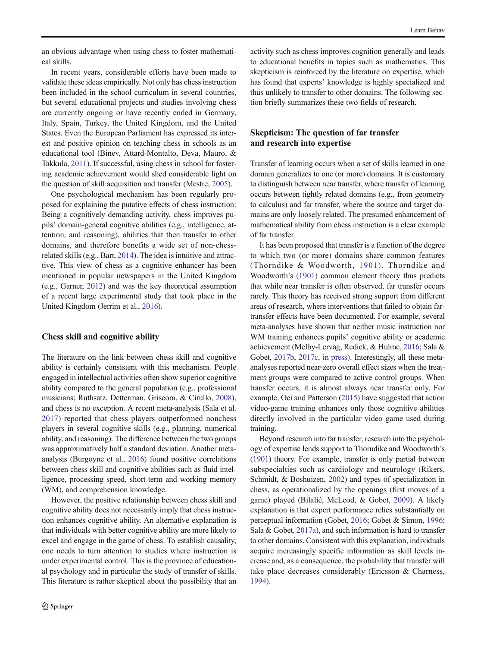an obvious advantage when using chess to foster mathematical skills.

In recent years, considerable efforts have been made to validate these ideas empirically. Not only has chess instruction been included in the school curriculum in several countries, but several educational projects and studies involving chess are currently ongoing or have recently ended in Germany, Italy, Spain, Turkey, the United Kingdom, and the United States. Even the European Parliament has expressed its interest and positive opinion on teaching chess in schools as an educational tool (Binev, Attard-Montalto, Deva, Mauro, & Takkula, [2011](#page-6-0)). If successful, using chess in school for fostering academic achievement would shed considerable light on the question of skill acquisition and transfer (Mestre, [2005\)](#page-6-0).

One psychological mechanism has been regularly proposed for explaining the putative effects of chess instruction: Being a cognitively demanding activity, chess improves pupils' domain-general cognitive abilities (e.g., intelligence, attention, and reasoning), abilities that then transfer to other domains, and therefore benefits a wide set of non-chessrelated skills (e.g., Bart, [2014](#page-6-0)). The idea is intuitive and attractive. This view of chess as a cognitive enhancer has been mentioned in popular newspapers in the United Kingdom (e.g., Garner, [2012\)](#page-6-0) and was the key theoretical assumption of a recent large experimental study that took place in the United Kingdom (Jerrim et al., [2016](#page-6-0)).

## Chess skill and cognitive ability

The literature on the link between chess skill and cognitive ability is certainly consistent with this mechanism. People engaged in intellectual activities often show superior cognitive ability compared to the general population (e.g., professional musicians; Ruthsatz, Detterman, Griscom, & Cirullo, [2008\)](#page-6-0), and chess is no exception. A recent meta-analysis (Sala et al. [2017](#page-7-0)) reported that chess players outperformed nonchess players in several cognitive skills (e.g., planning, numerical ability, and reasoning). The difference between the two groups was approximatively half a standard deviation. Another metaanalysis (Burgoyne et al., [2016](#page-6-0)) found positive correlations between chess skill and cognitive abilities such as fluid intelligence, processing speed, short-term and working memory (WM), and comprehension knowledge.

However, the positive relationship between chess skill and cognitive ability does not necessarily imply that chess instruction enhances cognitive ability. An alternative explanation is that individuals with better cognitive ability are more likely to excel and engage in the game of chess. To establish causality, one needs to turn attention to studies where instruction is under experimental control. This is the province of educational psychology and in particular the study of transfer of skills. This literature is rather skeptical about the possibility that an

activity such as chess improves cognition generally and leads to educational benefits in topics such as mathematics. This skepticism is reinforced by the literature on expertise, which has found that experts' knowledge is highly specialized and thus unlikely to transfer to other domains. The following section briefly summarizes these two fields of research.

# Skepticism: The question of far transfer and research into expertise

Transfer of learning occurs when a set of skills learned in one domain generalizes to one (or more) domains. It is customary to distinguish between near transfer, where transfer of learning occurs between tightly related domains (e.g., from geometry to calculus) and far transfer, where the source and target domains are only loosely related. The presumed enhancement of mathematical ability from chess instruction is a clear example of far transfer.

It has been proposed that transfer is a function of the degree to which two (or more) domains share common features (Thorndike & Woodworth, [1901\)](#page-7-0). Thorndike and Woodworth's ([1901](#page-7-0)) common element theory thus predicts that while near transfer is often observed, far transfer occurs rarely. This theory has received strong support from different areas of research, where interventions that failed to obtain fartransfer effects have been documented. For example, several meta-analyses have shown that neither music instruction nor WM training enhances pupils' cognitive ability or academic achievement (Melby-Lervåg, Redick, & Hulme, [2016](#page-6-0); Sala & Gobet, [2017b,](#page-7-0) [2017c](#page-7-0), [in press\)](#page-7-0). Interestingly, all these metaanalyses reported near-zero overall effect sizes when the treatment groups were compared to active control groups. When transfer occurs, it is almost always near transfer only. For example, Oei and Patterson ([2015](#page-6-0)) have suggested that action video-game training enhances only those cognitive abilities directly involved in the particular video game used during training.

Beyond research into far transfer, research into the psychology of expertise lends support to Thorndike and Woodworth's [\(1901\)](#page-7-0) theory. For example, transfer is only partial between subspecialties such as cardiology and neurology (Rikers, Schmidt, & Boshuizen, [2002](#page-6-0)) and types of specialization in chess, as operationalized by the openings (first moves of a game) played (Bilalić, McLeod, & Gobet, [2009\)](#page-6-0). A likely explanation is that expert performance relies substantially on perceptual information (Gobet, [2016;](#page-6-0) Gobet & Simon, [1996;](#page-6-0) Sala & Gobet, [2017a\)](#page-7-0), and such information is hard to transfer to other domains. Consistent with this explanation, individuals acquire increasingly specific information as skill levels increase and, as a consequence, the probability that transfer will take place decreases considerably (Ericsson & Charness, [1994\)](#page-6-0).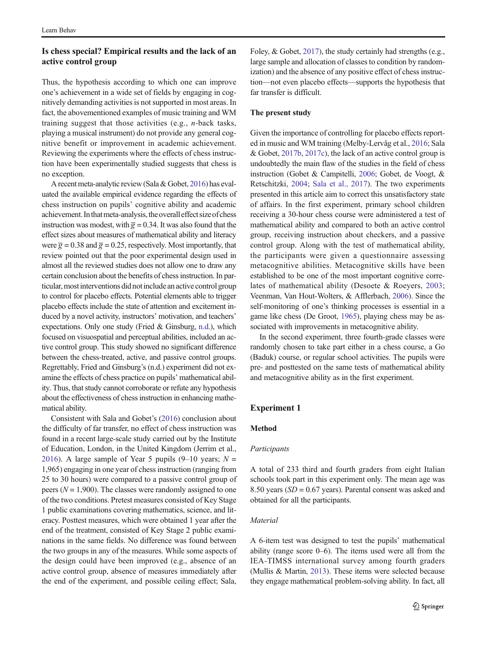# <span id="page-2-0"></span>Is chess special? Empirical results and the lack of an active control group

Thus, the hypothesis according to which one can improve one's achievement in a wide set of fields by engaging in cognitively demanding activities is not supported in most areas. In fact, the abovementioned examples of music training and WM training suggest that those activities (e.g., n-back tasks, playing a musical instrument) do not provide any general cognitive benefit or improvement in academic achievement. Reviewing the experiments where the effects of chess instruction have been experimentally studied suggests that chess is no exception.

A recent meta-analytic review (Sala & Gobet, [2016](#page-7-0)) has evaluated the available empirical evidence regarding the effects of chess instruction on pupils' cognitive ability and academic achievement. In that meta-analysis, the overall effect size of chess instruction was modest, with  $\overline{g} = 0.34$ . It was also found that the effect sizes about measures of mathematical ability and literacy were  $\overline{g} = 0.38$  and  $\overline{g} = 0.25$ , respectively. Most importantly, that review pointed out that the poor experimental design used in almost all the reviewed studies does not allow one to draw any certain conclusion about the benefits of chess instruction. In particular, most interventions did not include an active control group to control for placebo effects. Potential elements able to trigger placebo effects include the state of attention and excitement induced by a novel activity, instructors' motivation, and teachers' expectations. Only one study (Fried & Ginsburg, [n.d.](#page-6-0)), which focused on visuospatial and perceptual abilities, included an active control group. This study showed no significant difference between the chess-treated, active, and passive control groups. Regrettably, Fried and Ginsburg's (n.d.) experiment did not examine the effects of chess practice on pupils' mathematical ability. Thus, that study cannot corroborate or refute any hypothesis about the effectiveness of chess instruction in enhancing mathematical ability.

Consistent with Sala and Gobet's ([2016](#page-7-0)) conclusion about the difficulty of far transfer, no effect of chess instruction was found in a recent large-scale study carried out by the Institute of Education, London, in the United Kingdom (Jerrim et al., [2016](#page-6-0)). A large sample of Year 5 pupils (9–10 years;  $N =$ 1,965) engaging in one year of chess instruction (ranging from 25 to 30 hours) were compared to a passive control group of peers ( $N = 1,900$ ). The classes were randomly assigned to one of the two conditions. Pretest measures consisted of Key Stage 1 public examinations covering mathematics, science, and literacy. Posttest measures, which were obtained 1 year after the end of the treatment, consisted of Key Stage 2 public examinations in the same fields. No difference was found between the two groups in any of the measures. While some aspects of the design could have been improved (e.g., absence of an active control group, absence of measures immediately after the end of the experiment, and possible ceiling effect; Sala,

Foley, & Gobet, [2017](#page-7-0)), the study certainly had strengths (e.g., large sample and allocation of classes to condition by randomization) and the absence of any positive effect of chess instruction—not even placebo effects—supports the hypothesis that far transfer is difficult.

## The present study

Given the importance of controlling for placebo effects reported in music and WM training (Melby-Lervåg et al., [2016;](#page-6-0) Sala & Gobet, [2017b,](#page-7-0) [2017c](#page-7-0)), the lack of an active control group is undoubtedly the main flaw of the studies in the field of chess instruction (Gobet & Campitelli, [2006;](#page-6-0) Gobet, de Voogt, & Retschitzki, [2004](#page-6-0); [Sala et al., 2017](#page-7-0)). The two experiments presented in this article aim to correct this unsatisfactory state of affairs. In the first experiment, primary school children receiving a 30-hour chess course were administered a test of mathematical ability and compared to both an active control group, receiving instruction about checkers, and a passive control group. Along with the test of mathematical ability, the participants were given a questionnaire assessing metacognitive abilities. Metacognitive skills have been established to be one of the most important cognitive correlates of mathematical ability (Desoete & Roeyers, [2003;](#page-6-0) Veenman, Van Hout-Wolters, & Afflerbach, [2006\)](#page-7-0). Since the self-monitoring of one's thinking processes is essential in a game like chess (De Groot, [1965\)](#page-6-0), playing chess may be associated with improvements in metacognitive ability.

In the second experiment, three fourth-grade classes were randomly chosen to take part either in a chess course, a Go (Baduk) course, or regular school activities. The pupils were pre- and posttested on the same tests of mathematical ability and metacognitive ability as in the first experiment.

## Experiment 1

# Method

#### Participants

A total of 233 third and fourth graders from eight Italian schools took part in this experiment only. The mean age was 8.50 years (SD = 0.67 years). Parental consent was asked and obtained for all the participants.

## Material

A 6-item test was designed to test the pupils' mathematical ability (range score  $0-6$ ). The items used were all from the IEA-TIMSS international survey among fourth graders (Mullis & Martin, [2013](#page-6-0)). These items were selected because they engage mathematical problem-solving ability. In fact, all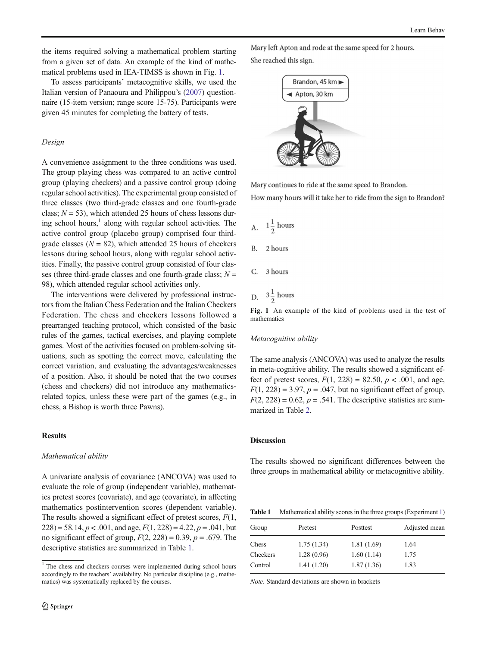the items required solving a mathematical problem starting from a given set of data. An example of the kind of mathematical problems used in IEA-TIMSS is shown in Fig. 1.

To assess participants' metacognitive skills, we used the Italian version of Panaoura and Philippou's [\(2007\)](#page-6-0) questionnaire (15-item version; range score 15-75). Participants were given 45 minutes for completing the battery of tests.

## Design

A convenience assignment to the three conditions was used. The group playing chess was compared to an active control group (playing checkers) and a passive control group (doing regular school activities). The experimental group consisted of three classes (two third-grade classes and one fourth-grade class;  $N = 53$ ), which attended 25 hours of chess lessons during school hours, $<sup>1</sup>$  along with regular school activities. The</sup> active control group (placebo group) comprised four thirdgrade classes ( $N = 82$ ), which attended 25 hours of checkers lessons during school hours, along with regular school activities. Finally, the passive control group consisted of four classes (three third-grade classes and one fourth-grade class;  $N =$ 98), which attended regular school activities only.

The interventions were delivered by professional instructors from the Italian Chess Federation and the Italian Checkers Federation. The chess and checkers lessons followed a prearranged teaching protocol, which consisted of the basic rules of the games, tactical exercises, and playing complete games. Most of the activities focused on problem-solving situations, such as spotting the correct move, calculating the correct variation, and evaluating the advantages/weaknesses of a position. Also, it should be noted that the two courses (chess and checkers) did not introduce any mathematicsrelated topics, unless these were part of the games (e.g., in chess, a Bishop is worth three Pawns).

## **Results**

#### Mathematical ability

A univariate analysis of covariance (ANCOVA) was used to evaluate the role of group (independent variable), mathematics pretest scores (covariate), and age (covariate), in affecting mathematics postintervention scores (dependent variable). The results showed a significant effect of pretest scores,  $F(1, 1)$  $228$ ) = 58.14,  $p < .001$ , and age,  $F(1, 228) = 4.22$ ,  $p = .041$ , but no significant effect of group,  $F(2, 228) = 0.39$ ,  $p = .679$ . The descriptive statistics are summarized in Table 1.

Mary left Apton and rode at the same speed for 2 hours. She reached this sign.



Mary continues to ride at the same speed to Brandon.

How many hours will it take her to ride from the sign to Brandon?

- A.  $1\frac{1}{2}$  hours
- $\mathbf{B}$ 2 hours
- 3 hours  $\mathcal{C}$
- D.  $3\frac{1}{2}$  hours

Fig. 1 An example of the kind of problems used in the test of mathematics

## Metacognitive ability

The same analysis (ANCOVA) was used to analyze the results in meta-cognitive ability. The results showed a significant effect of pretest scores,  $F(1, 228) = 82.50, p < .001$ , and age,  $F(1, 228) = 3.97$ ,  $p = .047$ , but no significant effect of group.  $F(2, 228) = 0.62$ ,  $p = .541$ . The descriptive statistics are summarized in Table [2.](#page-4-0)

## Discussion

The results showed no significant differences between the three groups in mathematical ability or metacognitive ability.

Table 1 Mathematical ability scores in the three groups (Experiment [1\)](#page-2-0)

| Group    | Pretest     | Posttest   | Adjusted mean |
|----------|-------------|------------|---------------|
| Chess    | 1.75(1.34)  | 1.81(1.69) | 1.64          |
| Checkers | 1.28 (0.96) | 1.60(1.14) | 1.75          |
| Control  | 1.41(1.20)  | 1.87(1.36) | 1.83          |

Note. Standard deviations are shown in brackets

<sup>&</sup>lt;sup>1</sup> The chess and checkers courses were implemented during school hours accordingly to the teachers' availability. No particular discipline (e.g., mathematics) was systematically replaced by the courses.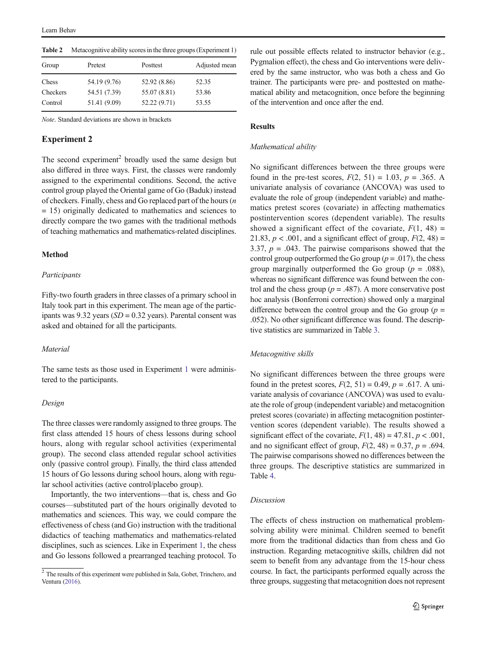| Table 4  | Metacognitive ability scores in the time groups (Experiment 1) |              |               |
|----------|----------------------------------------------------------------|--------------|---------------|
| Group    | Pretest                                                        | Posttest     | Adjusted mean |
| Chess    | 54.19 (9.76)                                                   | 52.92 (8.86) | 52.35         |
| Checkers | 54.51 (7.39)                                                   | 55.07 (8.81) | 53.86         |
| Control  | 51.41 (9.09)                                                   | 52.22 (9.71) | 53.55         |
|          |                                                                |              |               |

<span id="page-4-0"></span> $T_{\rm eff}$  and  $\gamma$   $\sim$  Metacognitive ability scores in the th

Note. Standard deviations are shown in brackets

## Experiment 2

The second experiment<sup>2</sup> broadly used the same design but also differed in three ways. First, the classes were randomly assigned to the experimental conditions. Second, the active control group played the Oriental game of Go (Baduk) instead of checkers. Finally, chess and Go replaced part of the hours (n = 15) originally dedicated to mathematics and sciences to directly compare the two games with the traditional methods of teaching mathematics and mathematics-related disciplines.

## Method

## **Participants**

Fifty-two fourth graders in three classes of a primary school in Italy took part in this experiment. The mean age of the participants was 9.32 years ( $SD = 0.32$  years). Parental consent was asked and obtained for all the participants.

## **Material**

The same tests as those used in Experiment [1](#page-2-0) were administered to the participants.

## Design

The three classes were randomly assigned to three groups. The first class attended 15 hours of chess lessons during school hours, along with regular school activities (experimental group). The second class attended regular school activities only (passive control group). Finally, the third class attended 15 hours of Go lessons during school hours, along with regular school activities (active control/placebo group).

Importantly, the two interventions—that is, chess and Go courses—substituted part of the hours originally devoted to mathematics and sciences. This way, we could compare the effectiveness of chess (and Go) instruction with the traditional didactics of teaching mathematics and mathematics-related disciplines, such as sciences. Like in Experiment [1,](#page-2-0) the chess and Go lessons followed a prearranged teaching protocol. To rule out possible effects related to instructor behavior (e.g., Pygmalion effect), the chess and Go interventions were delivered by the same instructor, who was both a chess and Go trainer. The participants were pre- and posttested on mathematical ability and metacognition, once before the beginning of the intervention and once after the end.

# Results

# Mathematical ability

No significant differences between the three groups were found in the pre-test scores,  $F(2, 51) = 1.03$ ,  $p = .365$ . A univariate analysis of covariance (ANCOVA) was used to evaluate the role of group (independent variable) and mathematics pretest scores (covariate) in affecting mathematics postintervention scores (dependent variable). The results showed a significant effect of the covariate,  $F(1, 48) =$ 21.83,  $p < .001$ , and a significant effect of group,  $F(2, 48) =$ 3.37,  $p = .043$ . The pairwise comparisons showed that the control group outperformed the Go group ( $p = .017$ ), the chess group marginally outperformed the Go group ( $p = .088$ ), whereas no significant difference was found between the control and the chess group ( $p = .487$ ). A more conservative post hoc analysis (Bonferroni correction) showed only a marginal difference between the control group and the Go group ( $p =$ .052). No other significant difference was found. The descriptive statistics are summarized in Table [3](#page-5-0).

## Metacognitive skills

No significant differences between the three groups were found in the pretest scores,  $F(2, 51) = 0.49$ ,  $p = .617$ . A univariate analysis of covariance (ANCOVA) was used to evaluate the role of group (independent variable) and metacognition pretest scores (covariate) in affecting metacognition postintervention scores (dependent variable). The results showed a significant effect of the covariate,  $F(1, 48) = 47.81$ ,  $p < .001$ , and no significant effect of group,  $F(2, 48) = 0.37$ ,  $p = .694$ . The pairwise comparisons showed no differences between the three groups. The descriptive statistics are summarized in Table [4](#page-5-0).

## Discussion

The effects of chess instruction on mathematical problemsolving ability were minimal. Children seemed to benefit more from the traditional didactics than from chess and Go instruction. Regarding metacognitive skills, children did not seem to benefit from any advantage from the 15-hour chess course. In fact, the participants performed equally across the three groups, suggesting that metacognition does not represent

 $\frac{2}{3}$  The results of this experiment were published in Sala, Gobet, Trinchero, and Ventura [\(2016\)](#page-7-0).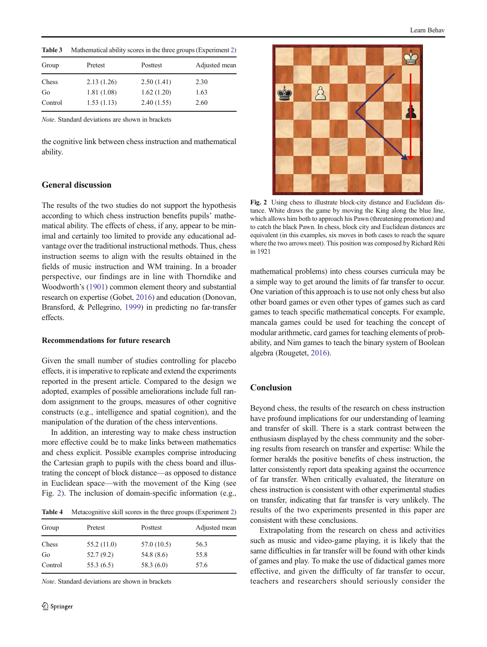<span id="page-5-0"></span>

| Table 3 | Mathematical ability scores in the three groups (Experiment 2) |            |               |  |
|---------|----------------------------------------------------------------|------------|---------------|--|
| Group   | Pretest                                                        | Posttest   | Adjusted mean |  |
| Chess   | 2.13(1.26)                                                     | 2.50(1.41) | 2.30          |  |
| Go      | 1.81(1.08)                                                     | 1.62(1.20) | 1.63          |  |
| Control | 1.53(1.13)                                                     | 2.40(1.55) | 2.60          |  |

Note. Standard deviations are shown in brackets

the cognitive link between chess instruction and mathematical ability.

# General discussion

The results of the two studies do not support the hypothesis according to which chess instruction benefits pupils' mathematical ability. The effects of chess, if any, appear to be minimal and certainly too limited to provide any educational advantage over the traditional instructional methods. Thus, chess instruction seems to align with the results obtained in the fields of music instruction and WM training. In a broader perspective, our findings are in line with Thorndike and Woodworth's ([1901](#page-7-0)) common element theory and substantial research on expertise (Gobet, [2016\)](#page-6-0) and education (Donovan, Bransford, & Pellegrino, [1999](#page-6-0)) in predicting no far-transfer effects.

## Recommendations for future research

Given the small number of studies controlling for placebo effects, it is imperative to replicate and extend the experiments reported in the present article. Compared to the design we adopted, examples of possible ameliorations include full random assignment to the groups, measures of other cognitive constructs (e.g., intelligence and spatial cognition), and the manipulation of the duration of the chess interventions.

In addition, an interesting way to make chess instruction more effective could be to make links between mathematics and chess explicit. Possible examples comprise introducing the Cartesian graph to pupils with the chess board and illustrating the concept of block distance—as opposed to distance in Euclidean space—with the movement of the King (see Fig. 2). The inclusion of domain-specific information (e.g.,

Table 4 Metacognitive skill scores in the three groups (Experiment [2](#page-4-0))

| Group   | Pretest     | Posttest    | Adjusted mean |
|---------|-------------|-------------|---------------|
| Chess   | 55.2 (11.0) | 57.0 (10.5) | 56.3          |
| Go      | 52.7(9.2)   | 54.8 (8.6)  | 55.8          |
| Control | 55.3(6.5)   | 58.3(6.0)   | 57.6          |

Note. Standard deviations are shown in brackets



Fig. 2 Using chess to illustrate block-city distance and Euclidean distance. White draws the game by moving the King along the blue line, which allows him both to approach his Pawn (threatening promotion) and to catch the black Pawn. In chess, block city and Euclidean distances are equivalent (in this examples, six moves in both cases to reach the square where the two arrows meet). This position was composed by Richard Réti in 1921

mathematical problems) into chess courses curricula may be a simple way to get around the limits of far transfer to occur. One variation of this approach is to use not only chess but also other board games or even other types of games such as card games to teach specific mathematical concepts. For example, mancala games could be used for teaching the concept of modular arithmetic, card games for teaching elements of probability, and Nim games to teach the binary system of Boolean algebra (Rougetet, [2016\)](#page-6-0).

# Conclusion

Beyond chess, the results of the research on chess instruction have profound implications for our understanding of learning and transfer of skill. There is a stark contrast between the enthusiasm displayed by the chess community and the sobering results from research on transfer and expertise: While the former heralds the positive benefits of chess instruction, the latter consistently report data speaking against the occurrence of far transfer. When critically evaluated, the literature on chess instruction is consistent with other experimental studies on transfer, indicating that far transfer is very unlikely. The results of the two experiments presented in this paper are consistent with these conclusions.

Extrapolating from the research on chess and activities such as music and video-game playing, it is likely that the same difficulties in far transfer will be found with other kinds of games and play. To make the use of didactical games more effective, and given the difficulty of far transfer to occur, teachers and researchers should seriously consider the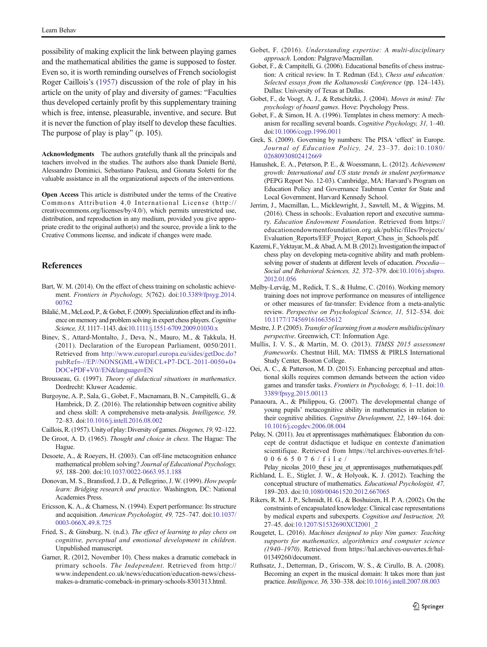<span id="page-6-0"></span>possibility of making explicit the link between playing games and the mathematical abilities the game is supposed to foster. Even so, it is worth reminding ourselves of French sociologist Roger Caillois's (1957) discussion of the role of play in his article on the unity of play and diversity of games: "Faculties thus developed certainly profit by this supplementary training which is free, intense, pleasurable, inventive, and secure. But it is never the function of play itself to develop these faculties. The purpose of play is play" (p. 105).

Acknowledgments The authors gratefully thank all the principals and teachers involved in the studies. The authors also thank Daniele Berté, Alessandro Dominici, Sebastiano Paulesu, and Gionata Soletti for the valuable assistance in all the organizational aspects of the interventions.

Open Access This article is distributed under the terms of the Creative Commons Attribution 4.0 International License (http:// creativecommons.org/licenses/by/4.0/), which permits unrestricted use, distribution, and reproduction in any medium, provided you give appropriate credit to the original author(s) and the source, provide a link to the Creative Commons license, and indicate if changes were made.

## References

- Bart, W. M. (2014). On the effect of chess training on scholastic achievement. Frontiers in Psychology, 5(762). doi[:10.3389/fpsyg.2014.](https://doi.org/10.3389/fpsyg.2014.00762) [00762](https://doi.org/10.3389/fpsyg.2014.00762)
- Bilalić,M.,McLeod, P., & Gobet, F. (2009). Specialization effect and its influence on memory and problem solving in expert chess players. Cognitive Science, 33, 1117–1143. doi[:10.1111/j.1551-6709.2009.01030.x](http://dx.doi.org/10.1111/j.1551-6709.2009.01030.x)
- Binev, S., Attard-Montalto, J., Deva, N., Mauro, M., & Takkula, H. (2011). Declaration of the European Parliament, 0050/2011. Retrieved from [http://www.europarl.europa.eu/sides/getDoc.do?](http://www.europarl.europa.eu/sides/getDoc.do?pubRef=-//EP//NONSGML+WDECL+P7-DCL-2011-0050+0+DOC+PDF+V0//EN&language=EN) [pubRef=-//EP//NONSGML+WDECL+P7-DCL-2011-0050+0+](http://www.europarl.europa.eu/sides/getDoc.do?pubRef=-//EP//NONSGML+WDECL+P7-DCL-2011-0050+0+DOC+PDF+V0//EN&language=EN) [DOC+PDF+V0//EN&language=EN](http://www.europarl.europa.eu/sides/getDoc.do?pubRef=-//EP//NONSGML+WDECL+P7-DCL-2011-0050+0+DOC+PDF+V0//EN&language=EN)
- Brousseau, G. (1997). Theory of didactical situations in mathematics. Dordrecht: Kluwer Academic.
- Burgoyne, A. P., Sala, G., Gobet, F., Macnamara, B. N., Campitelli, G., & Hambrick, D. Z. (2016). The relationship between cognitive ability and chess skill: A comprehensive meta-analysis. Intelligence, 59, 72–83. doi:[10.1016/j.intell.2016.08.002](http://dx.doi.org/10.1016/j.intell.2016.08.002)
- Caillois,R. (1957). Unity of play: Diversity of games.Diogenes, 19, 92–122.
- De Groot, A. D. (1965). Thought and choice in chess. The Hague: The Hague.
- Desoete, A., & Roeyers, H. (2003). Can off-line metacognition enhance mathematical problem solving? Journal of Educational Psychology, 95, 188–200. doi[:10.1037/0022-0663.95.1.188](http://dx.doi.org/10.1037/0022-0663.95.1.188)
- Donovan, M. S., Bransford, J. D., & Pellegrino, J. W. (1999). How people learn: Bridging research and practice. Washington, DC: National Academies Press.
- Ericsson, K. A., & Charness, N. (1994). Expert performance: Its structure and acquisition. American Psychologist, 49, 725–747. doi[:10.1037/](http://dx.doi.org/10.1037/0003-066X.49.8.725) [0003-066X.49.8.725](http://dx.doi.org/10.1037/0003-066X.49.8.725)
- Fried, S., & Ginsburg, N. (n.d.). The effect of learning to play chess on cognitive, perceptual and emotional development in children. Unpublished manuscript.
- Garner, R. (2012, November 10). Chess makes a dramatic comeback in primary schools. The Independent. Retrieved from http:// www.independent.co.uk/news/education/education-news/chessmakes-a-dramatic-comeback-in-primary-schools-8301313.html.
- Gobet, F. (2016). Understanding expertise: A multi-disciplinary approach. London: Palgrave/Macmillan.
- Gobet, F., & Campitelli, G. (2006). Educational benefits of chess instruction: A critical review. In T. Redman (Ed.), Chess and education: Selected essays from the Koltanowski Conference (pp. 124-143). Dallas: University of Texas at Dallas.
- Gobet, F., de Voogt, A. J., & Retschitzki, J. (2004). Moves in mind: The psychology of board games. Hove: Psychology Press.
- Gobet, F., & Simon, H. A. (1996). Templates in chess memory: A mechanism for recalling several boards. Cognitive Psychology, 31, 1–40. doi:[10.1006/cogp.1996.0011](http://dx.doi.org/10.1006/cogp.1996.0011)
- Grek, S. (2009). Governing by numbers: The PISA 'effect' in Europe. Journal of Education Policy, 24, 23–37. doi:[10.1080/](http://dx.doi.org/10.1080/02680930802412669) [02680930802412669](http://dx.doi.org/10.1080/02680930802412669)
- Hanushek, E. A., Peterson, P. E., & Woessmann, L. (2012). Achievement growth: International and US state trends in student performance (PEPG Report No. 12-03). Cambridge, MA: Harvard's Program on Education Policy and Governance Taubman Center for State and Local Government, Harvard Kennedy School.
- Jerrim, J., Macmillan, L., Micklewright, J., Sawtell, M., & Wiggins, M. (2016). Chess in schools:. Evaluation report and executive summary. Education Endowment Foundation. Retrieved from https:// educationendowmentfoundation.org.uk/public/files/Projects/ Evaluation\_Reports/EEF\_Project\_Report\_Chess\_in\_Schools.pdf.
- Kazemi,F.,Yektayar,M.,&Abad,A.M.B. (2012). Investigationtheimpact of chess play on developing meta-cognitive ability and math problemsolving power of students at different levels of education. Procedia-Social and Behavioral Sciences, 32, 372–379. doi:[10.1016/j.sbspro.](http://dx.doi.org/10.1016/j.sbspro.2012.01.056) [2012.01.056](http://dx.doi.org/10.1016/j.sbspro.2012.01.056)
- Melby-Lervåg, M., Redick, T. S., & Hulme, C. (2016). Working memory training does not improve performance on measures of intelligence or other measures of far-transfer: Evidence from a meta-analytic review. Perspective on Psychological Science, 11, 512–534. doi: [10.1177/1745691616635612](http://dx.doi.org/10.1177/1745691616635612)
- Mestre, J. P. (2005). Transfer of learning from a modern multidisciplinary perspective. Greenwich, CT: Information Age.
- Mullis, I. V. S., & Martin, M. O. (2013). TIMSS 2015 assessment frameworks. Chestnut Hill, MA: TIMSS & PIRLS International Study Center, Boston College.
- Oei, A. C., & Patterson, M. D. (2015). Enhancing perceptual and attentional skills requires common demands between the action video games and transfer tasks. Frontiers in Psychology, 6, 1–11. doi[:10.](http://dx.doi.org/10.3389/fpsyg.2015.00113) [3389/fpsyg.2015.00113](http://dx.doi.org/10.3389/fpsyg.2015.00113)
- Panaoura, A., & Philippou, G. (2007). The developmental change of young pupils' metacognitive ability in mathematics in relation to their cognitive abilities. Cognitive Development, 22, 149-164. doi: [10.1016/j.cogdev.2006.08.004](http://dx.doi.org/10.1016/j.cogdev.2006.08.004)
- Pelay, N. (2011). Jeu et apprentissages mathématiques: Élaboration du concept de contrat didactique et ludique en contexte d'animation scientifique. Retrieved from https://tel.archives-ouvertes.fr/tel-00665076/file/

Pelay\_nicolas\_2010\_these\_jeu\_et\_apprentissages\_mathematiques.pdf.

- Richland, L. E., Stigler, J. W., & Holyoak, K. J. (2012). Teaching the conceptual structure of mathematics. Educational Psychologist, 47, 189–203. doi[:10.1080/00461520.2012.667065](http://dx.doi.org/10.1080/00461520.2012.667065)
- Rikers, R. M. J. P., Schmidt, H. G., & Boshuizen, H. P. A. (2002). On the constraints of encapsulated knowledge: Clinical case representations by medical experts and subexperts. Cognition and Instruction, 20, 27–45. doi:[10.1207/S1532690XCI2001\\_2](http://dx.doi.org/10.1207/S1532690XCI2001_2)
- Rougetet, L. (2016). Machines designed to play Nim games: Teaching supports for mathematics, algorithmics and computer science (1940–1970). Retrieved from https://hal.archives-ouvertes.fr/hal-01349260/document.
- Ruthsatz, J., Detterman, D., Griscom, W. S., & Cirullo, B. A. (2008). Becoming an expert in the musical domain: It takes more than just practice. Intelligence, 36, 330–338. doi[:10.1016/j.intell.2007.08.003](http://dx.doi.org/10.1016/j.intell.2007.08.003)